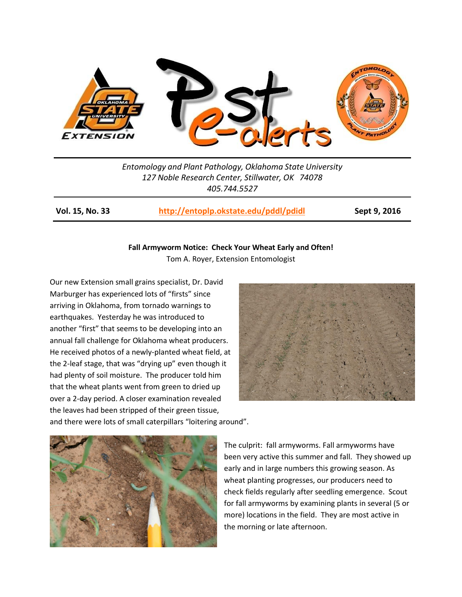

*Entomology and Plant Pathology, Oklahoma State University 127 Noble Research Center, Stillwater, OK 74078 405.744.5527*

**Vol. 15, No. 33 <http://entoplp.okstate.edu/pddl/pdidl> Sept 9, 2016**

## **Fall Armyworm Notice: Check Your Wheat Early and Often!**

Tom A. Royer, Extension Entomologist

Our new Extension small grains specialist, Dr. David Marburger has experienced lots of "firsts" since arriving in Oklahoma, from tornado warnings to earthquakes. Yesterday he was introduced to another "first" that seems to be developing into an annual fall challenge for Oklahoma wheat producers. He received photos of a newly-planted wheat field, at the 2-leaf stage, that was "drying up" even though it had plenty of soil moisture. The producer told him that the wheat plants went from green to dried up over a 2-day period. A closer examination revealed the leaves had been stripped of their green tissue,



and there were lots of small caterpillars "loitering around".



The culprit: fall armyworms. Fall armyworms have been very active this summer and fall. They showed up early and in large numbers this growing season. As wheat planting progresses, our producers need to check fields regularly after seedling emergence. Scout for fall armyworms by examining plants in several (5 or more) locations in the field. They are most active in the morning or late afternoon.